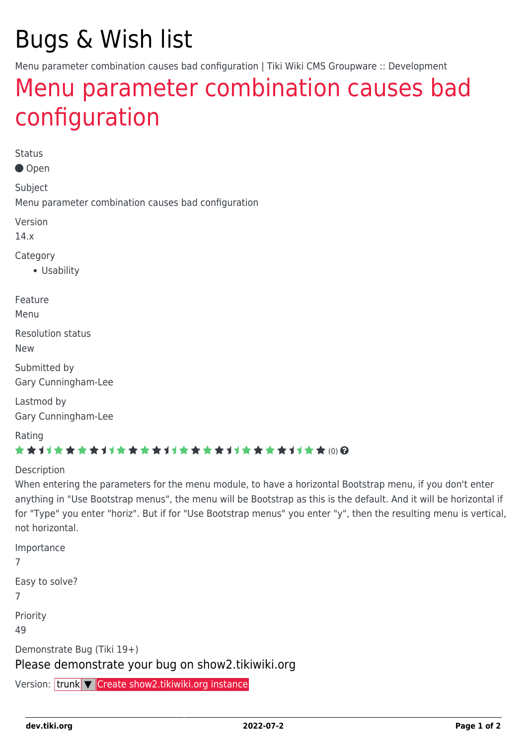# Bugs & Wish list

Menu parameter combination causes bad configuration | Tiki Wiki CMS Groupware :: Development

## [Menu parameter combination causes bad](https://dev.tiki.org/item5567-Menu-parameter-combination-causes-bad-configuration) [configuration](https://dev.tiki.org/item5567-Menu-parameter-combination-causes-bad-configuration)

Status

Open

Subject

Menu parameter combination causes bad configuration

Version

14.x

Category

Usability

Feature

Menu

Resolution status

New

Submitted by Gary Cunningham-Lee

Lastmod by Gary Cunningham-Lee

Rating

#### \*\*\*\*\*\*\*\*\*\*\*\*\*\*\*\*\*\*\*\*\*\*\*\*\*\*\*\*\*\*

#### **Description**

When entering the parameters for the menu module, to have a horizontal Bootstrap menu, if you don't enter anything in "Use Bootstrap menus", the menu will be Bootstrap as this is the default. And it will be horizontal if for "Type" you enter "horiz". But if for "Use Bootstrap menus" you enter "y", then the resulting menu is vertical, not horizontal.

Importance 7 Easy to solve? 7 Priority 49 Demonstrate Bug (Tiki 19+) Please demonstrate your bug on show2.tikiwiki.org

Version: trunk ▼ [Create show2.tikiwiki.org instance](#page--1-0)